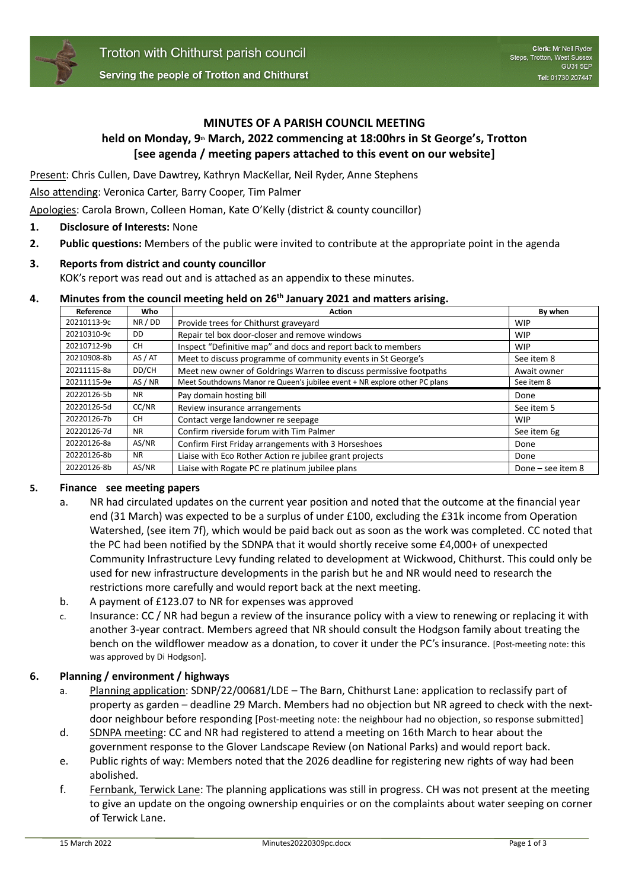

### **MINUTES OF A PARISH COUNCIL MEETING**

# **held on Monday, 9th March, 2022 commencing at 18:00hrs in St George's, Trotton [see agenda / meeting papers attached to this event on our website]**

Present: Chris Cullen, Dave Dawtrey, Kathryn MacKellar, Neil Ryder, Anne Stephens

Also attending: Veronica Carter, Barry Cooper, Tim Palmer

Apologies: Carola Brown, Colleen Homan, Kate O'Kelly (district & county councillor)

- **1. Disclosure of Interests:** None
- **2. Public questions:** Members of the public were invited to contribute at the appropriate point in the agenda

# **3. Reports from district and county councillor**

KOK's report was read out and is attached as an appendix to these minutes.

### **4. Minutes from the council meeting held on 26th January 2021 and matters arising.**

| Reference   | Who       | <b>Action</b>                                                              | By when     |
|-------------|-----------|----------------------------------------------------------------------------|-------------|
| 20210113-9c | NR / DD   | Provide trees for Chithurst graveyard                                      | WIP         |
| 20210310-9c | <b>DD</b> | Repair tel box door-closer and remove windows                              | <b>WIP</b>  |
| 20210712-9b | <b>CH</b> | Inspect "Definitive map" and docs and report back to members               | <b>WIP</b>  |
| 20210908-8b | AS / AT   | Meet to discuss programme of community events in St George's               | See item 8  |
| 20211115-8a | DD/CH     | Meet new owner of Goldrings Warren to discuss permissive footpaths         | Await owner |
| 20211115-9e | AS / NR   | Meet Southdowns Manor re Queen's jubilee event + NR explore other PC plans | See item 8  |
| 20220126-5b | <b>NR</b> | Pay domain hosting bill                                                    | Done        |
| 20220126-5d | CC/NR     | Review insurance arrangements                                              | See item 5  |
| 20220126-7b | <b>CH</b> | Contact verge landowner re seepage                                         | <b>WIP</b>  |
| 20220126-7d | <b>NR</b> | Confirm riverside forum with Tim Palmer                                    | See item 6g |
| 20220126-8a | AS/NR     | Confirm First Friday arrangements with 3 Horseshoes                        | Done        |
| 20220126-8b | <b>NR</b> | Liaise with Eco Rother Action re jubilee grant projects                    | Done        |
|             |           |                                                                            |             |

# **5. Finance see meeting papers**

- a. NR had circulated updates on the current year position and noted that the outcome at the financial year end (31 March) was expected to be a surplus of under £100, excluding the £31k income from Operation Watershed, (see item 7f), which would be paid back out as soon as the work was completed. CC noted that the PC had been notified by the SDNPA that it would shortly receive some £4,000+ of unexpected Community Infrastructure Levy funding related to development at Wickwood, Chithurst. This could only be used for new infrastructure developments in the parish but he and NR would need to research the restrictions more carefully and would report back at the next meeting.
- b. A payment of £123.07 to NR for expenses was approved
- c. Insurance: CC / NR had begun a review of the insurance policy with a view to renewing or replacing it with another 3-year contract. Members agreed that NR should consult the Hodgson family about treating the bench on the wildflower meadow as a donation, to cover it under the PC's insurance. [Post-meeting note: this was approved by Di Hodgson].

# **6. Planning / environment / highways**

- a. Planning application: SDNP/22/00681/LDE The Barn, Chithurst Lane: application to reclassify part of property as garden – deadline 29 March. Members had no objection but NR agreed to check with the nextdoor neighbour before responding [Post-meeting note: the neighbour had no objection, so response submitted]
- d. SDNPA meeting: CC and NR had registered to attend a meeting on 16th March to hear about the government response to the Glover Landscape Review (on National Parks) and would report back.
- e. Public rights of way: Members noted that the 2026 deadline for registering new rights of way had been abolished.
- f. Fernbank, Terwick Lane: The planning applications was still in progress. CH was not present at the meeting to give an update on the ongoing ownership enquiries or on the complaints about water seeping on corner of Terwick Lane.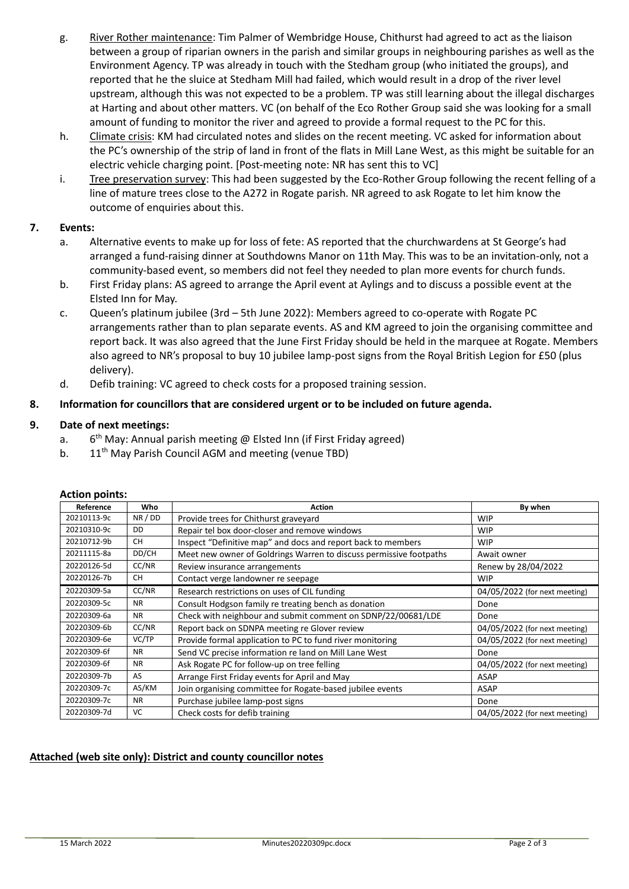- g. River Rother maintenance: Tim Palmer of Wembridge House, Chithurst had agreed to act as the liaison between a group of riparian owners in the parish and similar groups in neighbouring parishes as well as the Environment Agency. TP was already in touch with the Stedham group (who initiated the groups), and reported that he the sluice at Stedham Mill had failed, which would result in a drop of the river level upstream, although this was not expected to be a problem. TP was still learning about the illegal discharges at Harting and about other matters. VC (on behalf of the Eco Rother Group said she was looking for a small amount of funding to monitor the river and agreed to provide a formal request to the PC for this.
- h. Climate crisis: KM had circulated notes and slides on the recent meeting. VC asked for information about the PC's ownership of the strip of land in front of the flats in Mill Lane West, as this might be suitable for an electric vehicle charging point. [Post-meeting note: NR has sent this to VC]
- i. Tree preservation survey: This had been suggested by the Eco-Rother Group following the recent felling of a line of mature trees close to the A272 in Rogate parish. NR agreed to ask Rogate to let him know the outcome of enquiries about this.

# **7. Events:**

- a. Alternative events to make up for loss of fete: AS reported that the churchwardens at St George's had arranged a fund-raising dinner at Southdowns Manor on 11th May. This was to be an invitation-only, not a community-based event, so members did not feel they needed to plan more events for church funds.
- b. First Friday plans: AS agreed to arrange the April event at Aylings and to discuss a possible event at the Elsted Inn for May.
- c. Queen's platinum jubilee (3rd 5th June 2022): Members agreed to co-operate with Rogate PC arrangements rather than to plan separate events. AS and KM agreed to join the organising committee and report back. It was also agreed that the June First Friday should be held in the marquee at Rogate. Members also agreed to NR's proposal to buy 10 jubilee lamp-post signs from the Royal British Legion for £50 (plus delivery).
- d. Defib training: VC agreed to check costs for a proposed training session.

# **8. Information for councillors that are considered urgent or to be included on future agenda.**

# **9. Date of next meetings:**

- a. 6  $6<sup>th</sup>$  May: Annual parish meeting @ Elsted Inn (if First Friday agreed)
	- b. 11<sup>th</sup> May Parish Council AGM and meeting (venue TBD)

| Reference   | Who       | <b>Action</b>                                                      | By when                       |
|-------------|-----------|--------------------------------------------------------------------|-------------------------------|
| 20210113-9c | NR / DD   | Provide trees for Chithurst graveyard                              | <b>WIP</b>                    |
| 20210310-9c | <b>DD</b> | Repair tel box door-closer and remove windows                      | <b>WIP</b>                    |
| 20210712-9b | <b>CH</b> | Inspect "Definitive map" and docs and report back to members       | <b>WIP</b>                    |
| 20211115-8a | DD/CH     | Meet new owner of Goldrings Warren to discuss permissive footpaths | Await owner                   |
| 20220126-5d | CC/NR     | Review insurance arrangements                                      | Renew by 28/04/2022           |
| 20220126-7b | <b>CH</b> | Contact verge landowner re seepage                                 | <b>WIP</b>                    |
| 20220309-5a | CC/NR     | Research restrictions on uses of CIL funding                       | 04/05/2022 (for next meeting) |
| 20220309-5c | <b>NR</b> | Consult Hodgson family re treating bench as donation               | Done                          |
| 20220309-6a | <b>NR</b> | Check with neighbour and submit comment on SDNP/22/00681/LDE       | Done                          |
| 20220309-6b | CC/NR     | Report back on SDNPA meeting re Glover review                      | 04/05/2022 (for next meeting) |
| 20220309-6e | VC/TP     | Provide formal application to PC to fund river monitoring          | 04/05/2022 (for next meeting) |
| 20220309-6f | <b>NR</b> | Send VC precise information re land on Mill Lane West              | Done                          |
| 20220309-6f | <b>NR</b> | Ask Rogate PC for follow-up on tree felling                        | 04/05/2022 (for next meeting) |
| 20220309-7b | AS        | Arrange First Friday events for April and May                      | <b>ASAP</b>                   |
| 20220309-7c | AS/KM     | Join organising committee for Rogate-based jubilee events          | ASAP                          |
| 20220309-7c | <b>NR</b> | Purchase jubilee lamp-post signs                                   | Done                          |
| 20220309-7d | VC        | Check costs for defib training                                     | 04/05/2022 (for next meeting) |

# **Action points:**

# **Attached (web site only): District and county councillor notes**